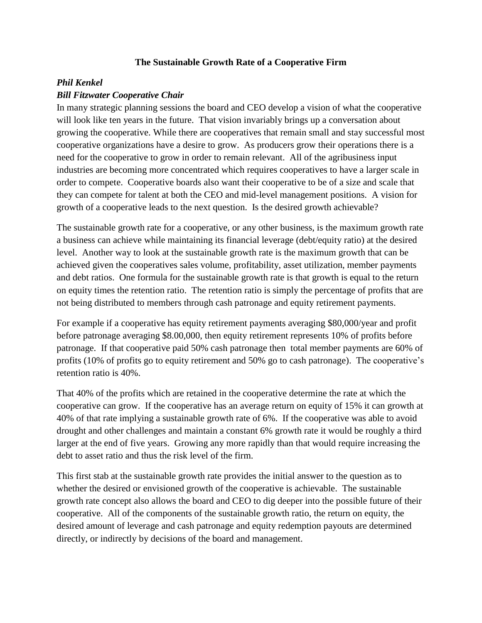## **The Sustainable Growth Rate of a Cooperative Firm**

## *Phil Kenkel*

## *Bill Fitzwater Cooperative Chair*

In many strategic planning sessions the board and CEO develop a vision of what the cooperative will look like ten years in the future. That vision invariably brings up a conversation about growing the cooperative. While there are cooperatives that remain small and stay successful most cooperative organizations have a desire to grow. As producers grow their operations there is a need for the cooperative to grow in order to remain relevant. All of the agribusiness input industries are becoming more concentrated which requires cooperatives to have a larger scale in order to compete. Cooperative boards also want their cooperative to be of a size and scale that they can compete for talent at both the CEO and mid-level management positions. A vision for growth of a cooperative leads to the next question. Is the desired growth achievable?

The sustainable growth rate for a cooperative, or any other business, is the maximum growth rate a business can achieve while maintaining its financial leverage (debt/equity ratio) at the desired level. Another way to look at the sustainable growth rate is the maximum growth that can be achieved given the cooperatives sales volume, profitability, asset utilization, member payments and debt ratios. One formula for the sustainable growth rate is that growth is equal to the return on equity times the retention ratio. The retention ratio is simply the percentage of profits that are not being distributed to members through cash patronage and equity retirement payments.

For example if a cooperative has equity retirement payments averaging \$80,000/year and profit before patronage averaging \$8.00,000, then equity retirement represents 10% of profits before patronage. If that cooperative paid 50% cash patronage then total member payments are 60% of profits (10% of profits go to equity retirement and 50% go to cash patronage). The cooperative's retention ratio is 40%.

That 40% of the profits which are retained in the cooperative determine the rate at which the cooperative can grow. If the cooperative has an average return on equity of 15% it can growth at 40% of that rate implying a sustainable growth rate of 6%. If the cooperative was able to avoid drought and other challenges and maintain a constant 6% growth rate it would be roughly a third larger at the end of five years. Growing any more rapidly than that would require increasing the debt to asset ratio and thus the risk level of the firm.

This first stab at the sustainable growth rate provides the initial answer to the question as to whether the desired or envisioned growth of the cooperative is achievable. The sustainable growth rate concept also allows the board and CEO to dig deeper into the possible future of their cooperative. All of the components of the sustainable growth ratio, the return on equity, the desired amount of leverage and cash patronage and equity redemption payouts are determined directly, or indirectly by decisions of the board and management.